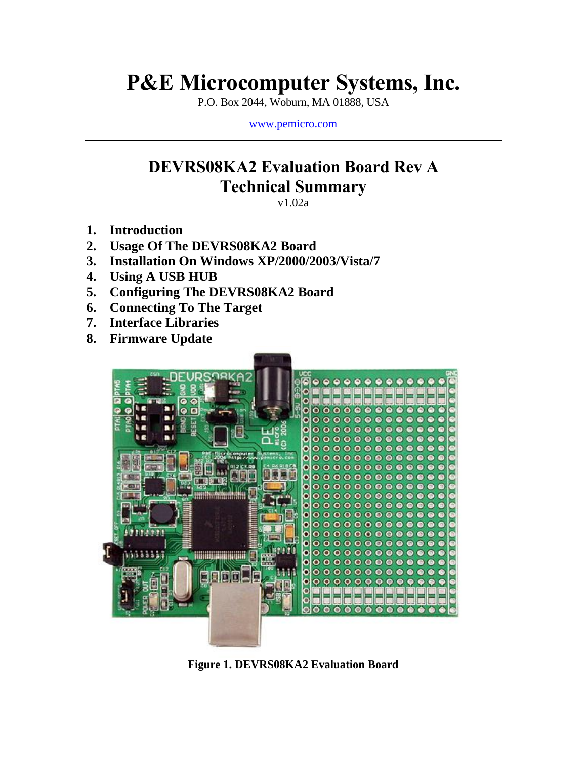# **P&E Microcomputer Systems, Inc.**

P.O. Box 2044, Woburn, MA 01888, USA

[www.pemicro.com](http://www.pemicro.com/)

# **DEVRS08KA2 Evaluation Board Rev A Technical Summary**

v1.02a

- **1. Introduction**
- **2. Usage Of The DEVRS08KA2 Board**
- **3. Installation On Windows XP/2000/2003/Vista/7**
- **4. Using A USB HUB**
- **5. Configuring The DEVRS08KA2 Board**
- **6. Connecting To The Target**
- **7. Interface Libraries**
- **8. Firmware Update**



**Figure 1. DEVRS08KA2 Evaluation Board**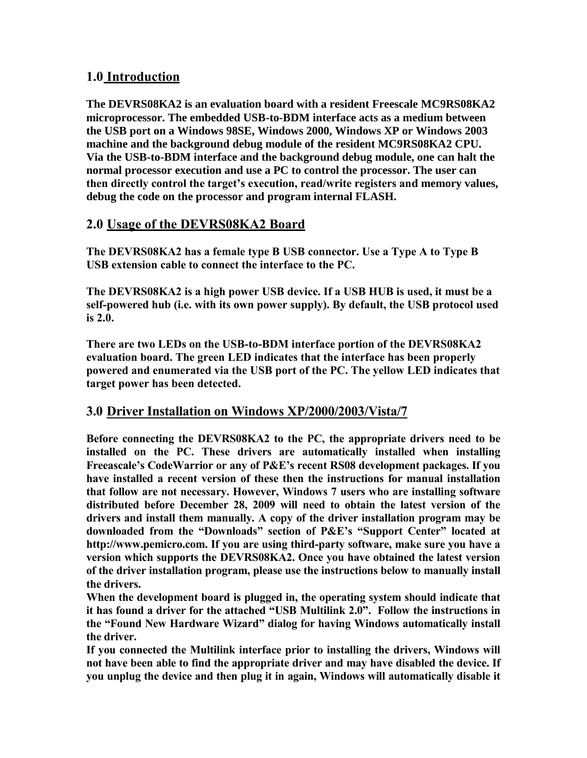### **1.0 Introduction**

**The DEVRS08KA2 is an evaluation board with a resident Freescale MC9RS08KA2 microprocessor. The embedded USB-to-BDM interface acts as a medium between the USB port on a Windows 98SE, Windows 2000, Windows XP or Windows 2003 machine and the background debug module of the resident MC9RS08KA2 CPU. Via the USB-to-BDM interface and the background debug module, one can halt the normal processor execution and use a PC to control the processor. The user can then directly control the target's execution, read/write registers and memory values, debug the code on the processor and program internal FLASH.** 

# **2.0 Usage of the DEVRS08KA2 Board**

**The DEVRS08KA2 has a female type B USB connector. Use a Type A to Type B USB extension cable to connect the interface to the PC.**

**The DEVRS08KA2 is a high power USB device. If a USB HUB is used, it must be a self-powered hub (i.e. with its own power supply). By default, the USB protocol used is 2.0.**

**There are two LEDs on the USB-to-BDM interface portion of the DEVRS08KA2 evaluation board. The green LED indicates that the interface has been properly powered and enumerated via the USB port of the PC. The yellow LED indicates that target power has been detected.**

#### **3.0 Driver Installation on Windows XP/2000/2003/Vista/7**

**Before connecting the DEVRS08KA2 to the PC, the appropriate drivers need to be installed on the PC. These drivers are automatically installed when installing Freeascale's CodeWarrior or any of P&E's recent RS08 development packages. If you have installed a recent version of these then the instructions for manual installation that follow are not necessary. However, Windows 7 users who are installing software distributed before December 28, 2009 will need to obtain the latest version of the drivers and install them manually. A copy of the driver installation program may be downloaded from the "Downloads" section of P&E's "Support Center" located at http://www.pemicro.com. If you are using third-party software, make sure you have a version which supports the DEVRS08KA2. Once you have obtained the latest version of the driver installation program, please use the instructions below to manually install the drivers.**

**When the development board is plugged in, the operating system should indicate that it has found a driver for the attached "USB Multilink 2.0". Follow the instructions in the "Found New Hardware Wizard" dialog for having Windows automatically install the driver.**

**If you connected the Multilink interface prior to installing the drivers, Windows will not have been able to find the appropriate driver and may have disabled the device. If you unplug the device and then plug it in again, Windows will automatically disable it**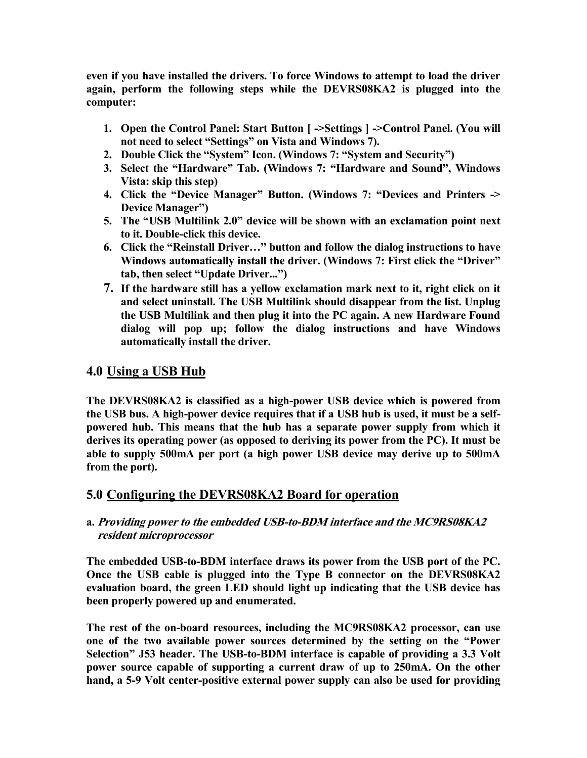**even if you have installed the drivers. To force Windows to attempt to load the driver again, perform the following steps while the DEVRS08KA2 is plugged into the computer:**

- **1. Open the Control Panel: Start Button [ ->Settings ] ->Control Panel. (You will not need to select "Settings" on Vista and Windows 7).**
- **2. Double Click the "System" Icon. (Windows 7: "System and Security")**
- **3. Select the "Hardware" Tab. (Windows 7: "Hardware and Sound", Windows Vista: skip this step)**
- **4. Click the "Device Manager" Button. (Windows 7: "Devices and Printers -> Device Manager")**
- **5. The "USB Multilink 2.0" device will be shown with an exclamation point next to it. Double-click this device.**
- **6. Click the "Reinstall Driver…" button and follow the dialog instructions to have Windows automatically install the driver. (Windows 7: First click the "Driver" tab, then select "Update Driver...")**
- **7. If the hardware still has a yellow exclamation mark next to it, right click on it and select uninstall. The USB Multilink should disappear from the list. Unplug the USB Multilink and then plug it into the PC again. A new Hardware Found dialog will pop up; follow the dialog instructions and have Windows automatically install the driver.**

# **4.0 Using a USB Hub**

**The DEVRS08KA2 is classified as a high-power USB device which is powered from the USB bus. A high-power device requires that if a USB hub is used, it must be a selfpowered hub. This means that the hub has a separate power supply from which it derives its operating power (as opposed to deriving its power from the PC). It must be able to supply 500mA per port (a high power USB device may derive up to 500mA from the port).** 

# **5.0 Configuring the DEVRS08KA2 Board for operation**

#### **a. Providing power to the embedded USB-to-BDM interface and the MC9RS08KA2 resident microprocessor**

**The embedded USB-to-BDM interface draws its power from the USB port of the PC. Once the USB cable is plugged into the Type B connector on the DEVRS08KA2 evaluation board, the green LED should light up indicating that the USB device has been properly powered up and enumerated.** 

**The rest of the on-board resources, including the MC9RS08KA2 processor, can use one of the two available power sources determined by the setting on the "Power Selection" J53 header. The USB-to-BDM interface is capable of providing a 3.3 Volt power source capable of supporting a current draw of up to 250mA. On the other hand, a 5-9 Volt center-positive external power supply can also be used for providing**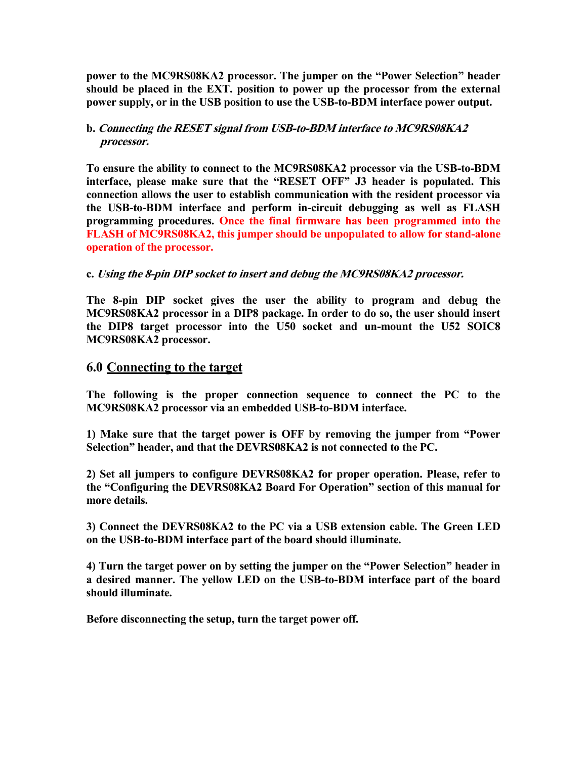**power to the MC9RS08KA2 processor. The jumper on the "Power Selection" header should be placed in the EXT. position to power up the processor from the external power supply, or in the USB position to use the USB-to-BDM interface power output.** 

#### **b. Connecting the RESET signal from USB-to-BDM interface to MC9RS08KA2 processor.**

**To ensure the ability to connect to the MC9RS08KA2 processor via the USB-to-BDM interface, please make sure that the "RESET OFF" J3 header is populated. This connection allows the user to establish communication with the resident processor via the USB-to-BDM interface and perform in-circuit debugging as well as FLASH programming procedures. Once the final firmware has been programmed into the FLASH of MC9RS08KA2, this jumper should be unpopulated to allow for stand-alone operation of the processor.** 

#### **c. Using the 8-pin DIP socket to insert and debug the MC9RS08KA2 processor.**

**The 8-pin DIP socket gives the user the ability to program and debug the MC9RS08KA2 processor in a DIP8 package. In order to do so, the user should insert the DIP8 target processor into the U50 socket and un-mount the U52 SOIC8 MC9RS08KA2 processor.** 

#### **6.0 Connecting to the target**

**The following is the proper connection sequence to connect the PC to the MC9RS08KA2 processor via an embedded USB-to-BDM interface.**

**1) Make sure that the target power is OFF by removing the jumper from "Power Selection" header, and that the DEVRS08KA2 is not connected to the PC.**

**2) Set all jumpers to configure DEVRS08KA2 for proper operation. Please, refer to the "Configuring the DEVRS08KA2 Board For Operation" section of this manual for more details.**

**3) Connect the DEVRS08KA2 to the PC via a USB extension cable. The Green LED on the USB-to-BDM interface part of the board should illuminate.**

**4) Turn the target power on by setting the jumper on the "Power Selection" header in a desired manner. The yellow LED on the USB-to-BDM interface part of the board should illuminate.**

**Before disconnecting the setup, turn the target power off.**